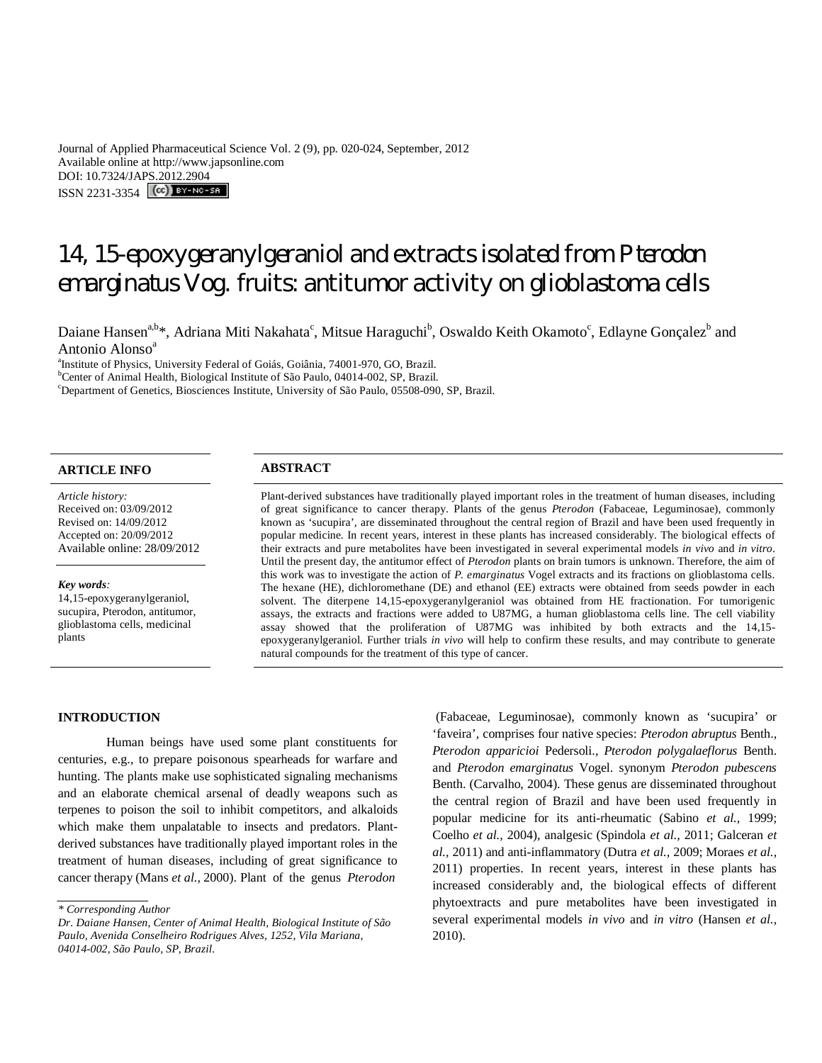Journal of Applied Pharmaceutical Science Vol. 2 (9), pp. 020-024, September, 2012 Available online at http://www.japsonline.com DOI: 10.7324/JAPS.2012.2904 ISSN 2231-3354 **CC**) BY-NC-SA

# 14, 15-epoxygeranylgeraniol and extracts isolated from *Pterodon emarginatus* Vog. fruits: antitumor activity on glioblastoma cells

Daiane Hansen<sup>a,b\*</sup>, Adriana Miti Nakahata<sup>c</sup>, Mitsue Haraguchi<sup>b</sup>, Oswaldo Keith Okamoto<sup>c</sup>, Edlayne Gonçalez<sup>b</sup> and Antonio Alonso<sup>a</sup>

a Institute of Physics, University Federal of Goiás, Goiânia, 74001-970, GO, Brazil.

<sup>b</sup>Center of Animal Health, Biological Institute of São Paulo, 04014-002, SP, Brazil.

<sup>c</sup>Department of Genetics, Biosciences Institute, University of São Paulo, 05508-090, SP, Brazil.

## **ARTICLE INFO ABSTRACT**

*Article history:* Received on: 03/09/2012 Revised on: 14/09/2012 Accepted on: 20/09/2012 Available online: 28/09/2012

#### *Key words:*

14,15-epoxygeranylgeraniol, sucupira, Pterodon, antitumor, glioblastoma cells, medicinal plants

Plant-derived substances have traditionally played important roles in the treatment of human diseases, including of great significance to cancer therapy. Plants of the genus *Pterodon* (Fabaceae, Leguminosae), commonly known as 'sucupira', are disseminated throughout the central region of Brazil and have been used frequently in popular medicine. In recent years, interest in these plants has increased considerably. The biological effects of their extracts and pure metabolites have been investigated in several experimental models *in vivo* and *in vitro*. Until the present day, the antitumor effect of *Pterodon* plants on brain tumors is unknown. Therefore, the aim of this work was to investigate the action of *P. emarginatus* Vogel extracts and its fractions on glioblastoma cells. The hexane (HE), dichloromethane (DE) and ethanol (EE) extracts were obtained from seeds powder in each solvent. The diterpene 14,15-epoxygeranylgeraniol was obtained from HE fractionation. For tumorigenic assays, the extracts and fractions were added to U87MG, a human glioblastoma cells line. The cell viability assay showed that the proliferation of U87MG was inhibited by both extracts and the 14,15 epoxygeranylgeraniol. Further trials *in vivo* will help to confirm these results, and may contribute to generate natural compounds for the treatment of this type of cancer.

#### **INTRODUCTION**

Human beings have used some plant constituents for centuries, e.g., to prepare poisonous spearheads for warfare and hunting. The plants make use sophisticated signaling mechanisms and an elaborate chemical arsenal of deadly weapons such as terpenes to poison the soil to inhibit competitors, and alkaloids which make them unpalatable to insects and predators. Plantderived substances have traditionally played important roles in the treatment of human diseases, including of great significance to cancer therapy (Mans *et al.,* 2000).. Plant of the genus *Pterodon*

(Fabaceae, Leguminosae), commonly known as 'sucupira' or 'faveira', comprises four native species: *Pterodon abruptus* Benth., *Pterodon apparicioi* Pedersoli., *Pterodon polygalaeflorus* Benth. and *Pterodon emarginatus* Vogel. synonym *Pterodon pubescens* Benth. (Carvalho, 2004). These genus are disseminated throughout the central region of Brazil and have been used frequently in popular medicine for its anti-rheumatic (Sabino *et al.,* 1999; Coelho *et al.,* 2004), analgesic (Spindola *et al.,* 2011; Galceran *et al.,* 2011) and anti-inflammatory (Dutra *et al.,* 2009; Moraes *et al.,*  2011) properties. In recent years, interest in these plants has increased considerably and, the biological effects of different phytoextracts and pure metabolites have been investigated in several experimental models *in vivo* and *in vitro* (Hansen *et al.,*  2010).

*<sup>\*</sup> Corresponding Author*

*Dr. Daiane Hansen, Center of Animal Health, Biological Institute of São Paulo, Avenida Conselheiro Rodrigues Alves, 1252, Vila Mariana, 04014-002, São Paulo, SP, Brazil.*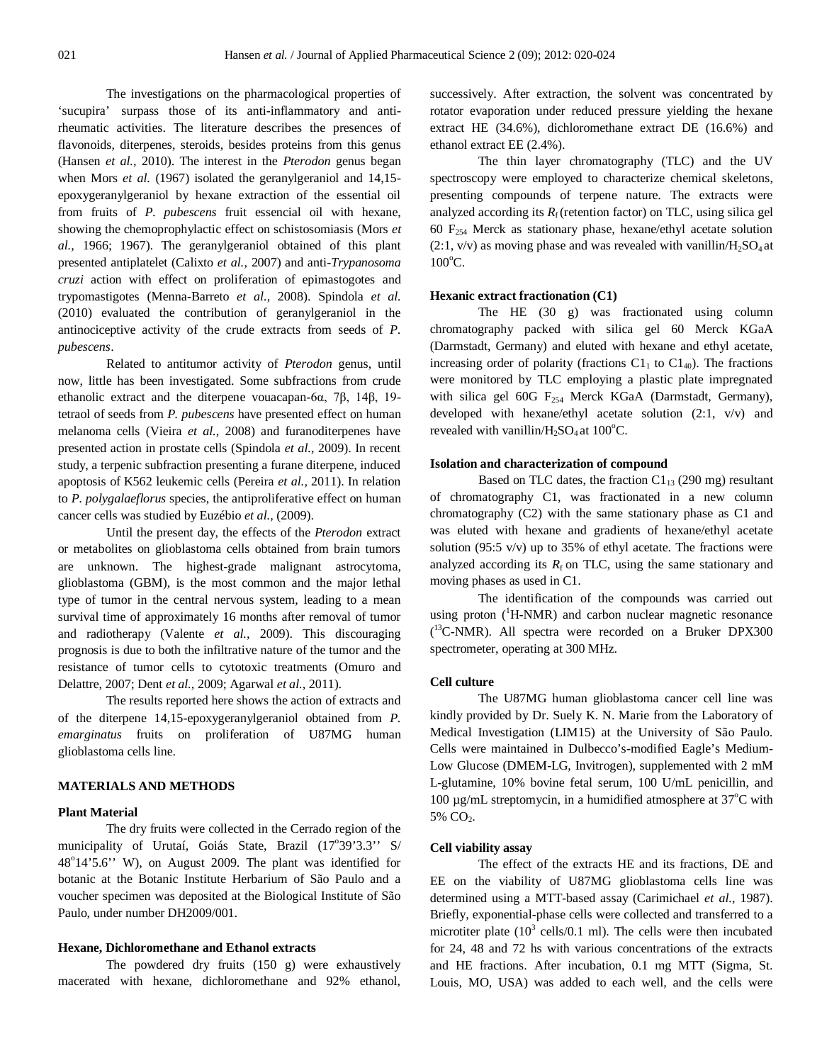The investigations on the pharmacological properties of 'sucupira' surpass those of its anti-inflammatory and antirheumatic activities. The literature describes the presences of flavonoids, diterpenes, steroids, besides proteins from this genus (Hansen *et al.,* 2010). The interest in the *Pterodon* genus began when Mors *et al.* (1967) isolated the geranylgeraniol and 14,15epoxygeranylgeraniol by hexane extraction of the essential oil from fruits of *P*. *pubescens* fruit essencial oil with hexane, showing the chemoprophylactic effect on schistosomiasis (Mors *et al.,* 1966; 1967). The geranylgeraniol obtained of this plant presented antiplatelet (Calixto *et al.,* 2007) and anti-*Trypanosoma cruzi* action with effect on proliferation of epimastogotes and trypomastigotes (Menna-Barreto *et al.,* 2008). Spindola *et al.*  (2010) evaluated the contribution of geranylgeraniol in the antinociceptive activity of the crude extracts from seeds of *P*. *pubescens*.

Related to antitumor activity of *Pterodon* genus, until now, little has been investigated. Some subfractions from crude ethanolic extract and the diterpene vouacapan-6α, 7β, 14β, 19 tetraol of seeds from *P. pubescens* have presented effect on human melanoma cells (Vieira *et al.,* 2008) and furanoditerpenes have presented action in prostate cells (Spindola *et al.,* 2009). In recent study, a terpenic subfraction presenting a furane diterpene, induced apoptosis of K562 leukemic cells (Pereira *et al.,* 2011). In relation to *P*. *polygalaeflorus* species, the antiproliferative effect on human cancer cells was studied by Euzébio *et al.,* (2009).

Until the present day, the effects of the *Pterodon* extract or metabolites on glioblastoma cells obtained from brain tumors are unknown. The highest-grade malignant astrocytoma, glioblastoma (GBM), is the most common and the major lethal type of tumor in the central nervous system, leading to a mean survival time of approximately 16 months after removal of tumor and radiotherapy (Valente *et al.,* 2009). This discouraging prognosis is due to both the infiltrative nature of the tumor and the resistance of tumor cells to cytotoxic treatments (Omuro and Delattre, 2007; Dent *et al.,* 2009; Agarwal *et al.,* 2011).

The results reported here shows the action of extracts and of the diterpene 14,15-epoxygeranylgeraniol obtained from *P*. *emarginatus* fruits on proliferation of U87MG human glioblastoma cells line.

#### **MATERIALS AND METHODS**

#### **Plant Material**

The dry fruits were collected in the Cerrado region of the municipality of Urutaí, Goiás State, Brazil (17°39'3.3" S/ 48°14'5.6" W), on August 2009. The plant was identified for botanic at the Botanic Institute Herbarium of São Paulo and a voucher specimen was deposited at the Biological Institute of São Paulo, under number DH2009/001.

#### **Hexane, Dichloromethane and Ethanol extracts**

The powdered dry fruits (150 g) were exhaustively macerated with hexane, dichloromethane and 92% ethanol,

successively. After extraction, the solvent was concentrated by rotator evaporation under reduced pressure yielding the hexane extract HE (34.6%), dichloromethane extract DE (16.6%) and ethanol extract EE (2.4%).

The thin layer chromatography (TLC) and the UV spectroscopy were employed to characterize chemical skeletons, presenting compounds of terpene nature. The extracts were analyzed according its  $R_f$  (retention factor) on TLC, using silica gel 60 F<sup>254</sup> Merck as stationary phase, hexane/ethyl acetate solution  $(2:1, v/v)$  as moving phase and was revealed with vanillin/H<sub>2</sub>SO<sub>4</sub> at  $100^{\circ}$ C.

### **Hexanic extract fractionation (C1)**

The HE (30 g) was fractionated using column chromatography packed with silica gel 60 Merck KGaA (Darmstadt, Germany) and eluted with hexane and ethyl acetate, increasing order of polarity (fractions  $C1_1$  to  $C1_{40}$ ). The fractions were monitored by TLC employing a plastic plate impregnated with silica gel 60G  $F_{254}$  Merck KGaA (Darmstadt, Germany), developed with hexane/ethyl acetate solution (2:1, v/v) and revealed with vanillin/ $H_2SO_4$  at 100 $^{\circ}$ C.

#### **Isolation and characterization of compound**

Based on TLC dates, the fraction  $C1_{13}$  (290 mg) resultant of chromatography C1, was fractionated in a new column chromatography (C2) with the same stationary phase as C1 and was eluted with hexane and gradients of hexane/ethyl acetate solution (95:5  $v/v$ ) up to 35% of ethyl acetate. The fractions were analyzed according its  $R_f$  on TLC, using the same stationary and moving phases as used in C1.

The identification of the compounds was carried out using proton  $(^1H\text{-}NMR)$  and carbon nuclear magnetic resonance ( <sup>13</sup>C-NMR). All spectra were recorded on a Bruker DPX300 spectrometer, operating at 300 MHz.

#### **Cell culture**

The U87MG human glioblastoma cancer cell line was kindly provided by Dr. Suely K. N. Marie from the Laboratory of Medical Investigation (LIM15) at the University of São Paulo. Cells were maintained in Dulbecco's-modified Eagle's Medium-Low Glucose (DMEM-LG, Invitrogen), supplemented with 2 mM L-glutamine, 10% bovine fetal serum, 100 U/mL penicillin, and 100  $\mu$ g/mL streptomycin, in a humidified atmosphere at 37 $\mathrm{^{\circ}C}$  with 5% CO<sub>2</sub>.

#### **Cell viability assay**

The effect of the extracts HE and its fractions, DE and EE on the viability of U87MG glioblastoma cells line was determined using a MTT-based assay (Carimichael *et al.,* 1987). Briefly, exponential-phase cells were collected and transferred to a microtiter plate  $(10^3 \text{ cells}/0.1 \text{ ml})$ . The cells were then incubated for 24, 48 and 72 hs with various concentrations of the extracts and HE fractions. After incubation, 0.1 mg MTT (Sigma, St. Louis, MO, USA) was added to each well, and the cells were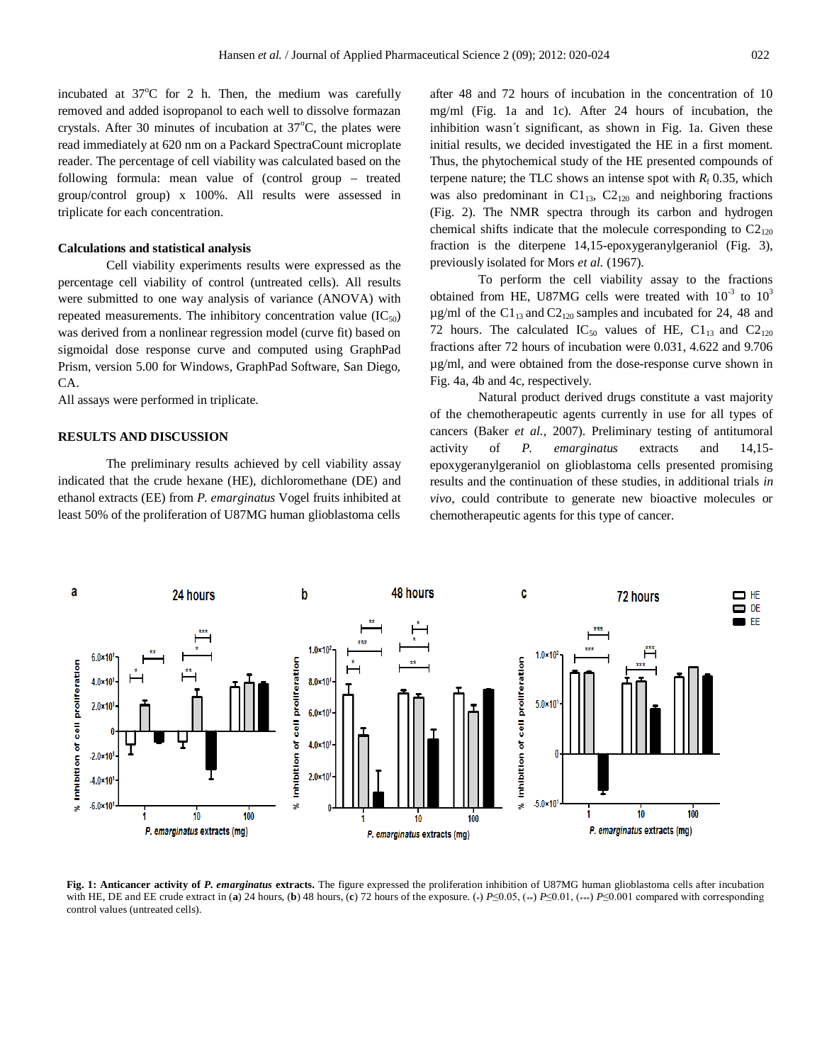incubated at  $37^{\circ}$ C for 2 h. Then, the medium was carefully removed and added isopropanol to each well to dissolve formazan crystals. After 30 minutes of incubation at  $37^{\circ}$ C, the plates were read immediately at 620 nm on a Packard SpectraCount microplate reader. The percentage of cell viability was calculated based on the following formula: mean value of (control group – treated group/control group) x 100%. All results were assessed in triplicate for each concentration.

#### **Calculations and statistical analysis**

Cell viability experiments results were expressed as the percentage cell viability of control (untreated cells). All results were submitted to one way analysis of variance (ANOVA) with repeated measurements. The inhibitory concentration value  $(IC_{50})$ was derived from a nonlinear regression model (curve fit) based on sigmoidal dose response curve and computed using GraphPad Prism, version 5.00 for Windows, GraphPad Software, San Diego, CA.

All assays were performed in triplicate.

#### **RESULTS AND DISCUSSION**

The preliminary results achieved by cell viability assay indicated that the crude hexane (HE), dichloromethane (DE) and ethanol extracts (EE) from *P. emarginatus* Vogel fruits inhibited at least 50% of the proliferation of U87MG human glioblastoma cells after 48 and 72 hours of incubation in the concentration of 10 mg/ml (Fig. 1a and 1c). After 24 hours of incubation, the inhibition wasn´t significant, as shown in Fig. 1a. Given these initial results, we decided investigated the HE in a first moment. Thus, the phytochemical study of the HE presented compounds of terpene nature; the TLC shows an intense spot with  $R_f$  0.35, which was also predominant in  $C1_{13}$ ,  $C2_{120}$  and neighboring fractions (Fig. 2). The NMR spectra through its carbon and hydrogen chemical shifts indicate that the molecule corresponding to  $C2_{120}$ fraction is the diterpene 14,15-epoxygeranylgeraniol (Fig. 3), previously isolated for Mors *et al.* (1967).

To perform the cell viability assay to the fractions obtained from HE, U87MG cells were treated with  $10^{-3}$  to  $10^{3}$  $\mu$ g/ml of the C1<sub>13</sub> and C2<sub>120</sub> samples and incubated for 24, 48 and 72 hours. The calculated  $IC_{50}$  values of HE,  $Cl_{13}$  and  $Cl_{120}$ fractions after 72 hours of incubation were 0.031, 4.622 and 9.706 µg/ml, and were obtained from the dose-response curve shown in Fig. 4a, 4b and 4c, respectively.

Natural product derived drugs constitute a vast majority of the chemotherapeutic agents currently in use for all types of cancers (Baker *et al.,* 2007). Preliminary testing of antitumoral activity of *P. emarginatus* extracts and 14,15 epoxygeranylgeraniol on glioblastoma cells presented promising results and the continuation of these studies, in additional trials *in vivo*, could contribute to generate new bioactive molecules or chemotherapeutic agents for this type of cancer.



**Fig. 1: Anticancer activity of** *P. emarginatus* **extracts.** The figure expressed the proliferation inhibition of U87MG human glioblastoma cells after incubation with HE, DE and EE crude extract in (**a**) 24 hours, (**b**) 48 hours, (**c**) 72 hours of the exposure. (\*) *P*≤0.05, (\*\*) *P*≤0.01, (\*\*\*) *P*≤0.001 compared with corresponding control values (untreated cells).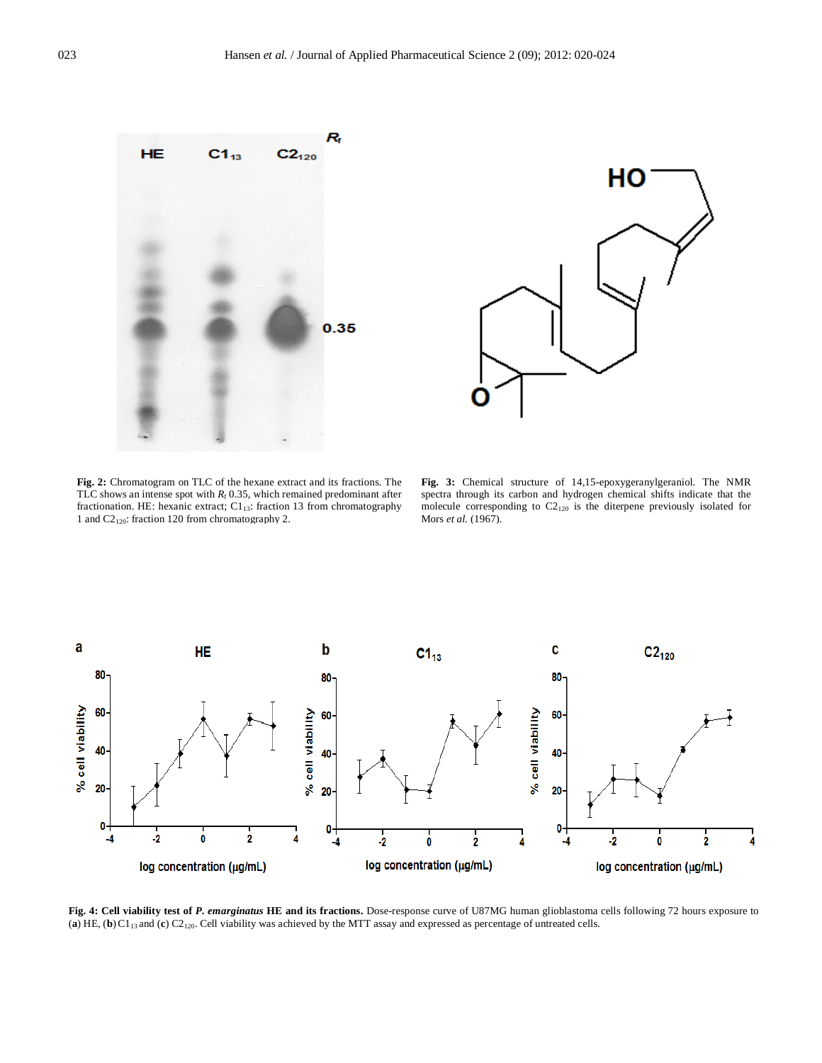



**Fig. 2:** Chromatogram on TLC of the hexane extract and its fractions. The TLC shows an intense spot with  $R_f$  0.35, which remained predominant after fractionation. HE: hexanic extract;  $C1_{13}$ : fraction 13 from chromatography 1 and C2120: fraction 120 from chromatography 2.

**Fig. 3:** Chemical structure of 14,15-epoxygeranylgeraniol. The NMR spectra through its carbon and hydrogen chemical shifts indicate that the molecule corresponding to C2<sup>120</sup> is the diterpene previously isolated for Mors *et al.* (1967).



**Fig. 4: Cell viability test of** *P. emarginatus* **HE and its fractions.** Dose-response curve of U87MG human glioblastoma cells following 72 hours exposure to (**a**) HE, (**b**)C113 and (**c**) C2120. Cell viability was achieved by the MTT assay and expressed as percentage of untreated cells.